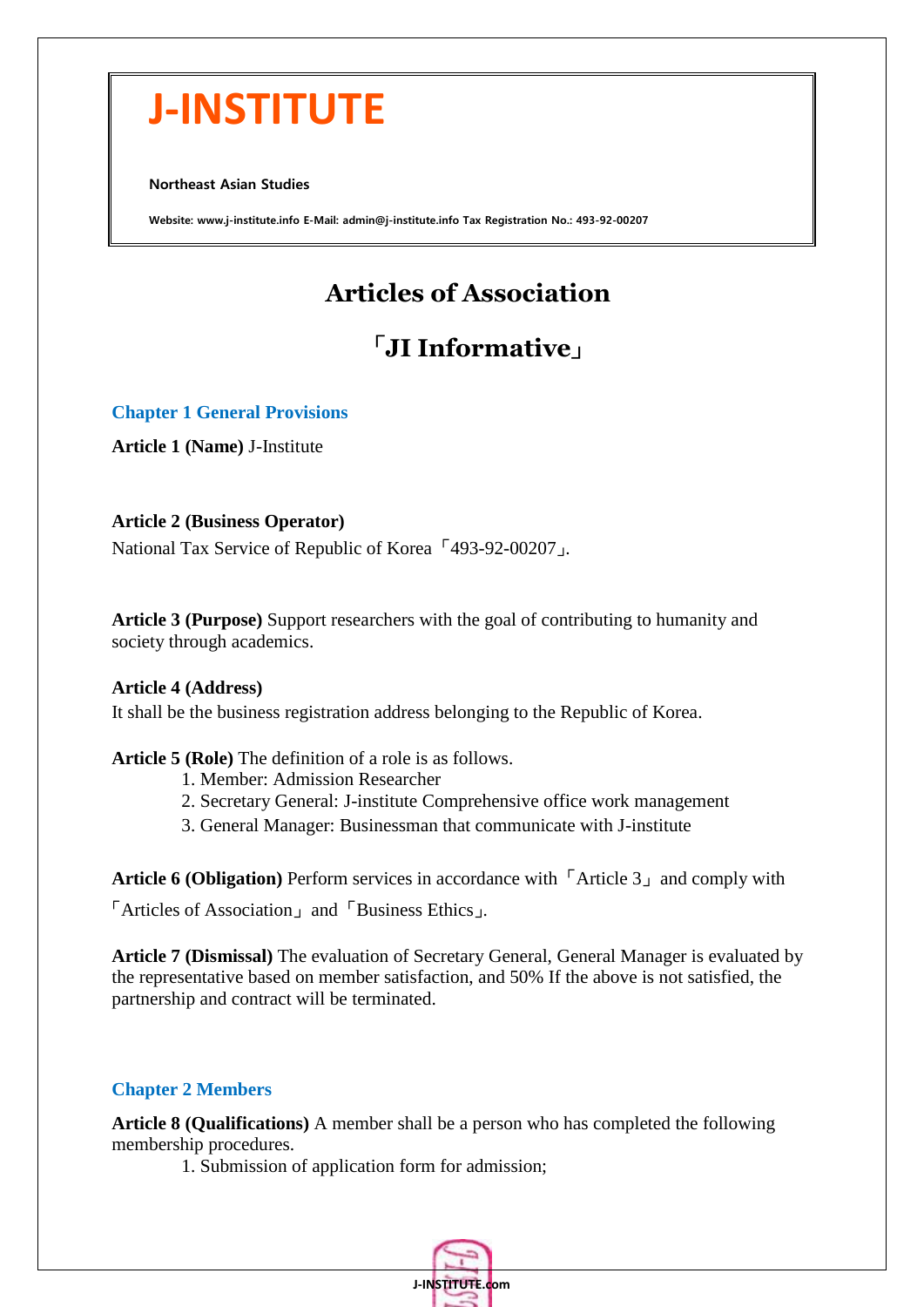# **J-INSTITUTE**

Northeast Asian Studies

Website: www.j-institute.info E-Mail: admin@j-institute.info Tax Registration No.: 493-92-00207

# **Articles of Association**

# 「**JI Informative**」

#### **Chapter 1 General Provisions**

**Article 1 (Name)** J-Institute

#### **Article 2 (Business Operator)**

National Tax Service of Republic of Korea 「493-92-00207」.

**Article 3 (Purpose)** Support researchers with the goal of contributing to humanity and society through academics.

#### **Article 4 (Address)**

It shall be the business registration address belonging to the Republic of Korea.

#### **Article 5 (Role)** The definition of a role is as follows.

- 1. Member: Admission Researcher
- 2. Secretary General: J-institute Comprehensive office work management
- 3. General Manager: Businessman that communicate with J-institute

**Article 6 (Obligation)** Perform services in accordance with 「Article 3」 and comply with

「Articles of Association」 and 「Business Ethics」.

**Article 7 (Dismissal)** The evaluation of Secretary General, General Manager is evaluated by the representative based on member satisfaction, and 50% If the above is not satisfied, the partnership and contract will be terminated.

## **Chapter 2 Members**

**Article 8 (Qualifications)** A member shall be a person who has completed the following membership procedures.

1. Submission of application form for admission;

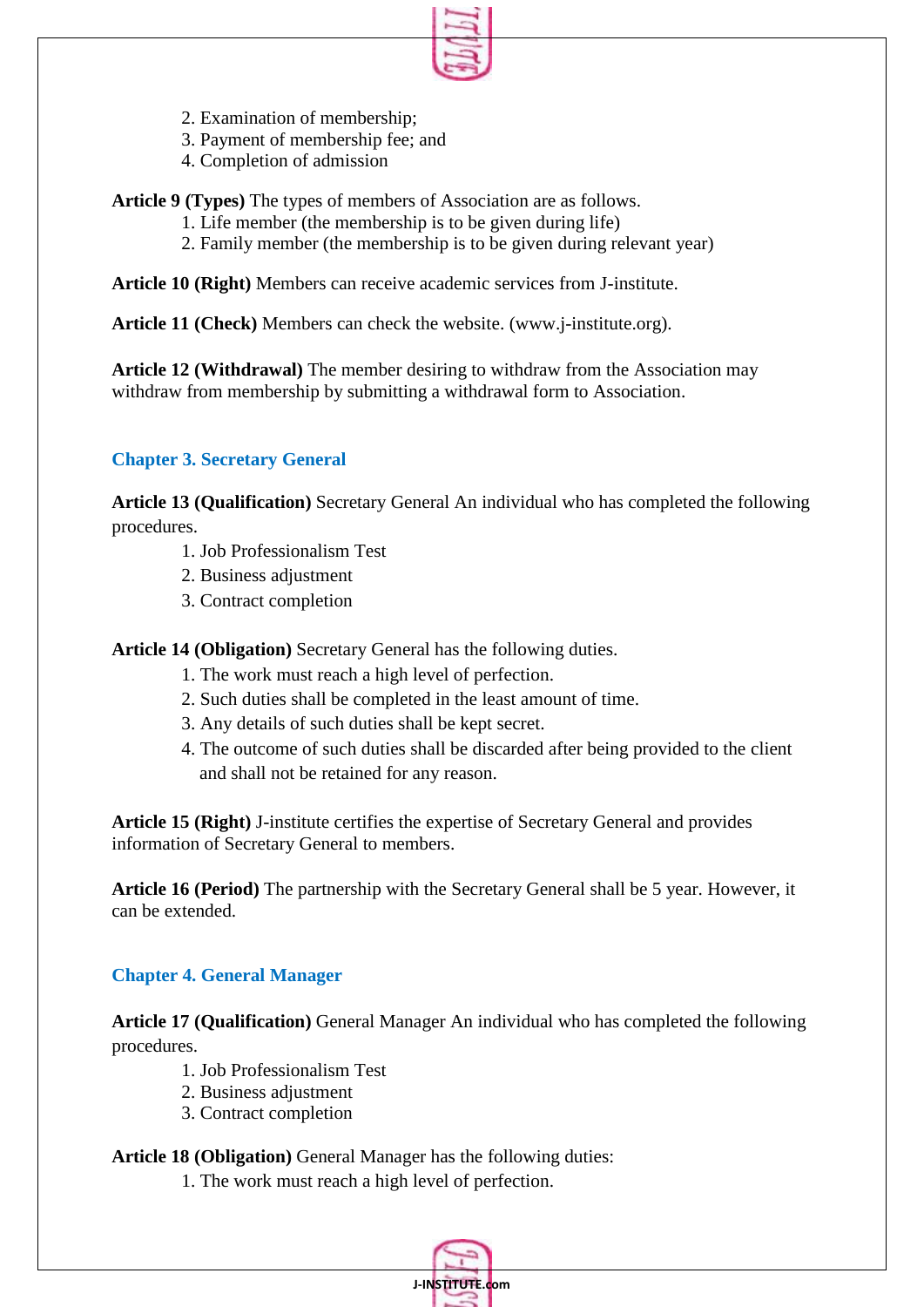

- 2. Examination of membership;
- 3. Payment of membership fee; and
- 4. Completion of admission

**Article 9 (Types)** The types of members of Association are as follows.

- 1. Life member (the membership is to be given during life)
- 2. Family member (the membership is to be given during relevant year)

**Article 10 (Right)** Members can receive academic services from J-institute.

**Article 11 (Check)** Members can check the website. (www.j-institute.org).

**Article 12 (Withdrawal)** The member desiring to withdraw from the Association may withdraw from membership by submitting a withdrawal form to Association.

# **Chapter 3. Secretary General**

**Article 13 (Qualification)** Secretary General An individual who has completed the following procedures.

- 1. Job Professionalism Test
- 2. Business adjustment
- 3. Contract completion

**Article 14 (Obligation)** Secretary General has the following duties.

- 1. The work must reach a high level of perfection.
- 2. Such duties shall be completed in the least amount of time.
- 3. Any details of such duties shall be kept secret.
- 4. The outcome of such duties shall be discarded after being provided to the client and shall not be retained for any reason.

**Article 15 (Right)** J-institute certifies the expertise of Secretary General and provides information of Secretary General to members.

**Article 16 (Period)** The partnership with the Secretary General shall be 5 year. However, it can be extended.

## **Chapter 4. General Manager**

**Article 17 (Qualification)** General Manager An individual who has completed the following procedures.

- 1. Job Professionalism Test
- 2. Business adjustment
- 3. Contract completion

**Article 18 (Obligation)** General Manager has the following duties:

1. The work must reach a high level of perfection.

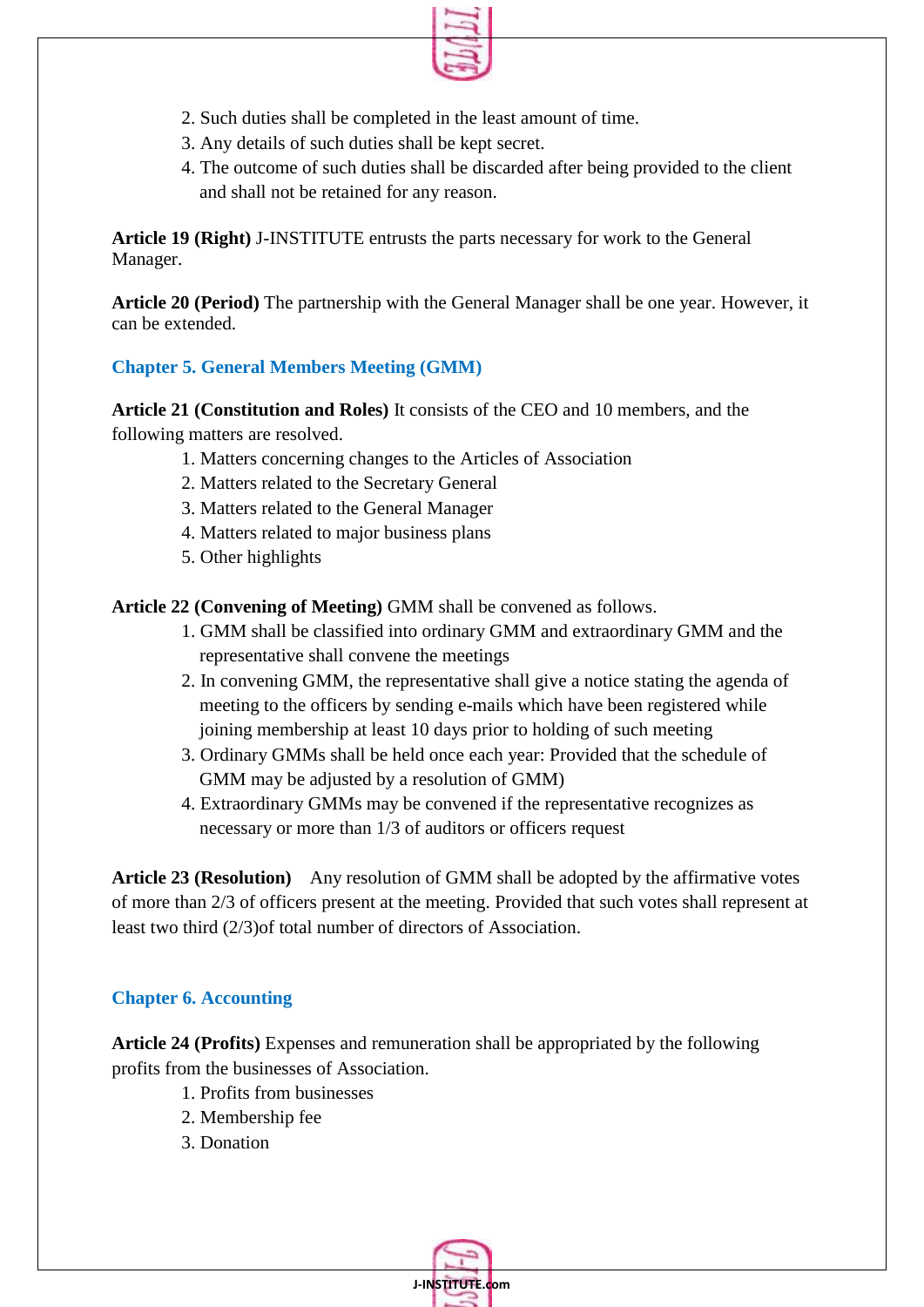

- 2. Such duties shall be completed in the least amount of time.
- 3. Any details of such duties shall be kept secret.
- 4. The outcome of such duties shall be discarded after being provided to the client and shall not be retained for any reason.

**Article 19 (Right)** J-INSTITUTE entrusts the parts necessary for work to the General Manager.

**Article 20 (Period)** The partnership with the General Manager shall be one year. However, it can be extended.

## **Chapter 5. General Members Meeting (GMM)**

**Article 21 (Constitution and Roles)** It consists of the CEO and 10 members, and the following matters are resolved.

- 1. Matters concerning changes to the Articles of Association
- 2. Matters related to the Secretary General
- 3. Matters related to the General Manager
- 4. Matters related to major business plans
- 5. Other highlights

**Article 22 (Convening of Meeting)** GMM shall be convened as follows.

- 1. GMM shall be classified into ordinary GMM and extraordinary GMM and the representative shall convene the meetings
- 2. In convening GMM, the representative shall give a notice stating the agenda of meeting to the officers by sending e-mails which have been registered while joining membership at least 10 days prior to holding of such meeting
- 3. Ordinary GMMs shall be held once each year: Provided that the schedule of GMM may be adjusted by a resolution of GMM)
- 4. Extraordinary GMMs may be convened if the representative recognizes as necessary or more than 1/3 of auditors or officers request

**Article 23 (Resolution)** Any resolution of GMM shall be adopted by the affirmative votes of more than 2/3 of officers present at the meeting. Provided that such votes shall represent at least two third (2/3)of total number of directors of Association.

## **Chapter 6. Accounting**

**Article 24 (Profits)** Expenses and remuneration shall be appropriated by the following profits from the businesses of Association.

- 1. Profits from businesses
- 2. Membership fee
- 3. Donation